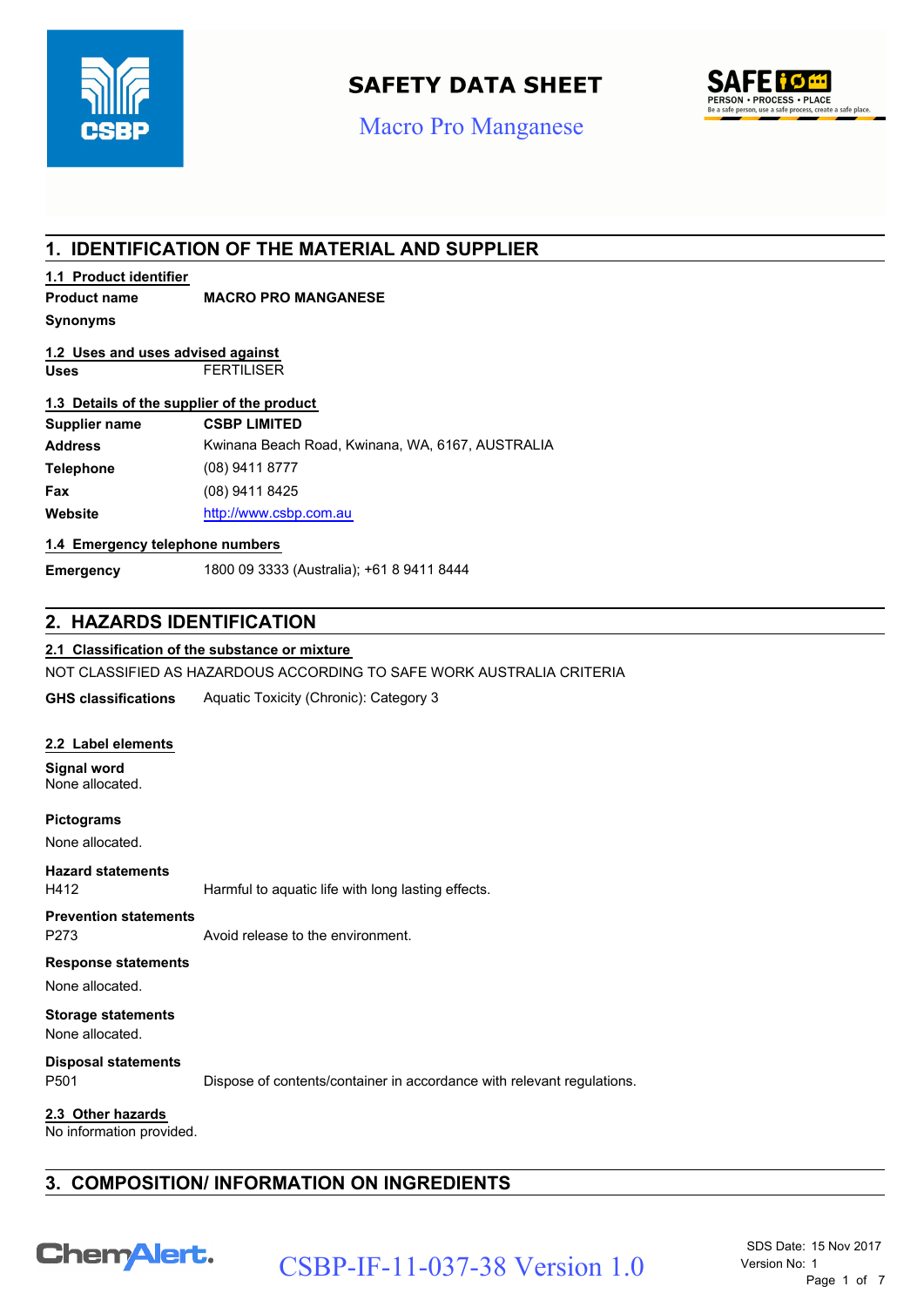

# **SAFETY DATA SHEET**

# Macro Pro Manganese



## **1. IDENTIFICATION OF THE MATERIAL AND SUPPLIER**

### **1.1 Product identifier**

### **Product name MACRO PRO MANGANESE**

**Synonyms**

#### **Uses** FERTILISER **1.2 Uses and uses advised against**

#### **1.3 Details of the supplier of the product**

| Supplier name    | <b>CSBP LIMITED</b>                              |
|------------------|--------------------------------------------------|
| <b>Address</b>   | Kwinana Beach Road, Kwinana, WA, 6167, AUSTRALIA |
| <b>Telephone</b> | $(08)$ 9411 8777                                 |
| Fax              | (08) 9411 8425                                   |
| Website          | http://www.csbp.com.au                           |

#### **1.4 Emergency telephone numbers**

**Emergency** 1800 09 3333 (Australia); +61 8 9411 8444

### **2. HAZARDS IDENTIFICATION**

### **2.1 Classification of the substance or mixture**

NOT CLASSIFIED AS HAZARDOUS ACCORDING TO SAFE WORK AUSTRALIA CRITERIA

**GHS classifications** Aquatic Toxicity (Chronic): Category 3

#### **2.2 Label elements**

**Signal word** None allocated.

**Pictograms**

None allocated.

H412 Harmful to aquatic life with long lasting effects. **Hazard statements**

**Prevention statements**

P273 Avoid release to the environment.

#### **Response statements**

None allocated.

**Storage statements**

None allocated.

**Disposal statements**

P501 Dispose of contents/container in accordance with relevant regulations.

**2.3 Other hazards**

No information provided.

### **3. COMPOSITION/ INFORMATION ON INGREDIENTS**

Chem Alert.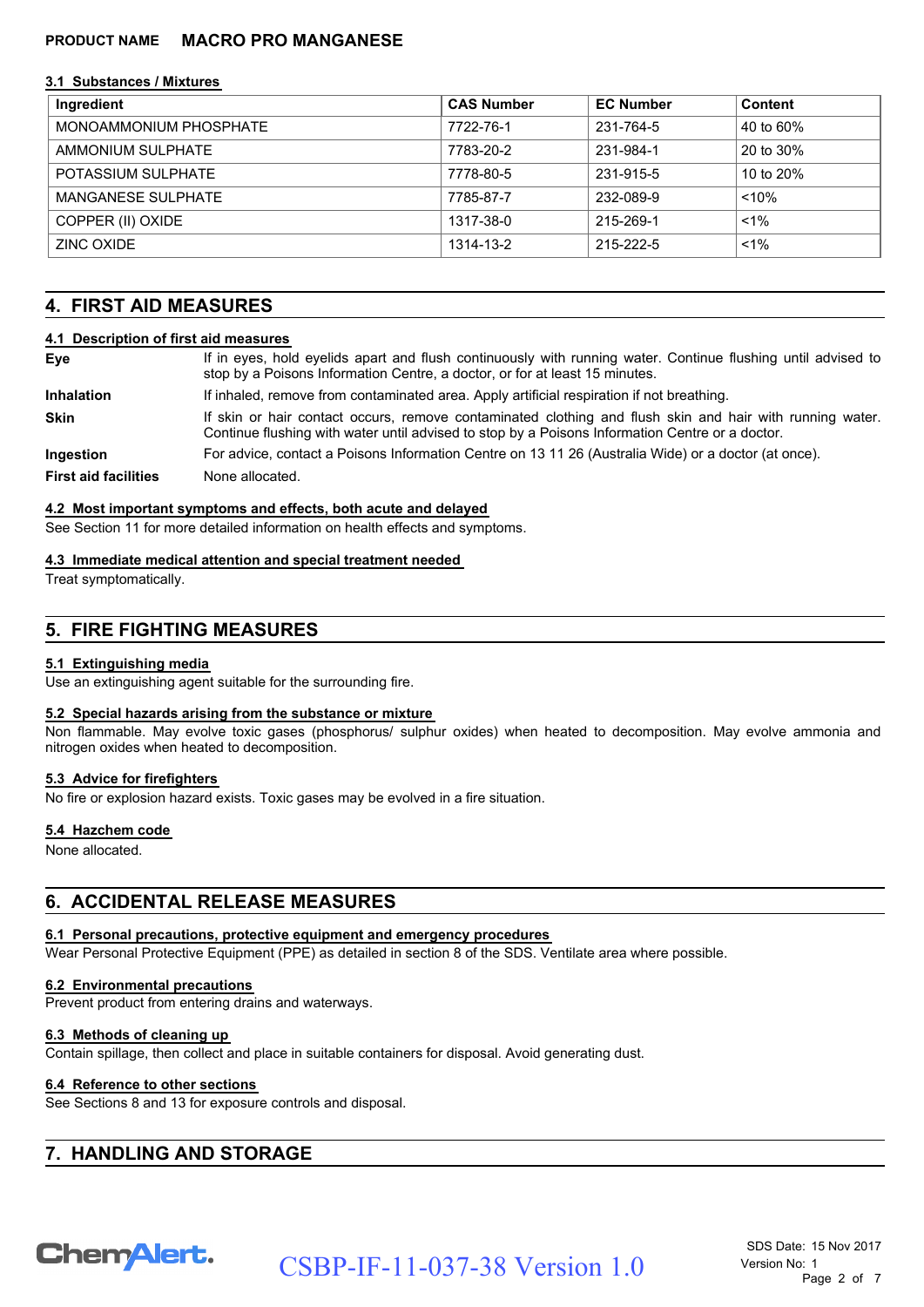#### **3.1 Substances / Mixtures**

| Ingredient                | <b>CAS Number</b> | <b>EC Number</b> | Content   |
|---------------------------|-------------------|------------------|-----------|
| MONOAMMONIUM PHOSPHATE    | 7722-76-1         | 231-764-5        | 40 to 60% |
| AMMONIUM SULPHATE         | 7783-20-2         | 231-984-1        | 20 to 30% |
| POTASSIUM SULPHATE        | 7778-80-5         | 231-915-5        | 10 to 20% |
| <b>MANGANESE SULPHATE</b> | 7785-87-7         | 232-089-9        | < 10%     |
| COPPER (II) OXIDE         | 1317-38-0         | 215-269-1        | $< 1\%$   |
| ZINC OXIDE                | 1314-13-2         | 215-222-5        | $< 1\%$   |

### **4. FIRST AID MEASURES**

#### **4.1 Description of first aid measures**

| Eye                         | If in eyes, hold eyelids apart and flush continuously with running water. Continue flushing until advised to<br>stop by a Poisons Information Centre, a doctor, or for at least 15 minutes.                 |
|-----------------------------|-------------------------------------------------------------------------------------------------------------------------------------------------------------------------------------------------------------|
| <b>Inhalation</b>           | If inhaled, remove from contaminated area. Apply artificial respiration if not breathing.                                                                                                                   |
| <b>Skin</b>                 | If skin or hair contact occurs, remove contaminated clothing and flush skin and hair with running water.<br>Continue flushing with water until advised to stop by a Poisons Information Centre or a doctor. |
| <b>Ingestion</b>            | For advice, contact a Poisons Information Centre on 13 11 26 (Australia Wide) or a doctor (at once).                                                                                                        |
| <b>First aid facilities</b> | None allocated.                                                                                                                                                                                             |

#### **4.2 Most important symptoms and effects, both acute and delayed**

See Section 11 for more detailed information on health effects and symptoms.

#### **4.3 Immediate medical attention and special treatment needed**

Treat symptomatically.

### **5. FIRE FIGHTING MEASURES**

#### **5.1 Extinguishing media**

Use an extinguishing agent suitable for the surrounding fire.

#### **5.2 Special hazards arising from the substance or mixture**

Non flammable. May evolve toxic gases (phosphorus/ sulphur oxides) when heated to decomposition. May evolve ammonia and nitrogen oxides when heated to decomposition.

#### **5.3 Advice for firefighters**

No fire or explosion hazard exists. Toxic gases may be evolved in a fire situation.

#### **5.4 Hazchem code**

None allocated.

### **6. ACCIDENTAL RELEASE MEASURES**

#### **6.1 Personal precautions, protective equipment and emergency procedures**

Wear Personal Protective Equipment (PPE) as detailed in section 8 of the SDS. Ventilate area where possible.

#### **6.2 Environmental precautions**

Prevent product from entering drains and waterways.

#### **6.3 Methods of cleaning up**

Contain spillage, then collect and place in suitable containers for disposal. Avoid generating dust.

#### **6.4 Reference to other sections**

See Sections 8 and 13 for exposure controls and disposal.

### **7. HANDLING AND STORAGE**

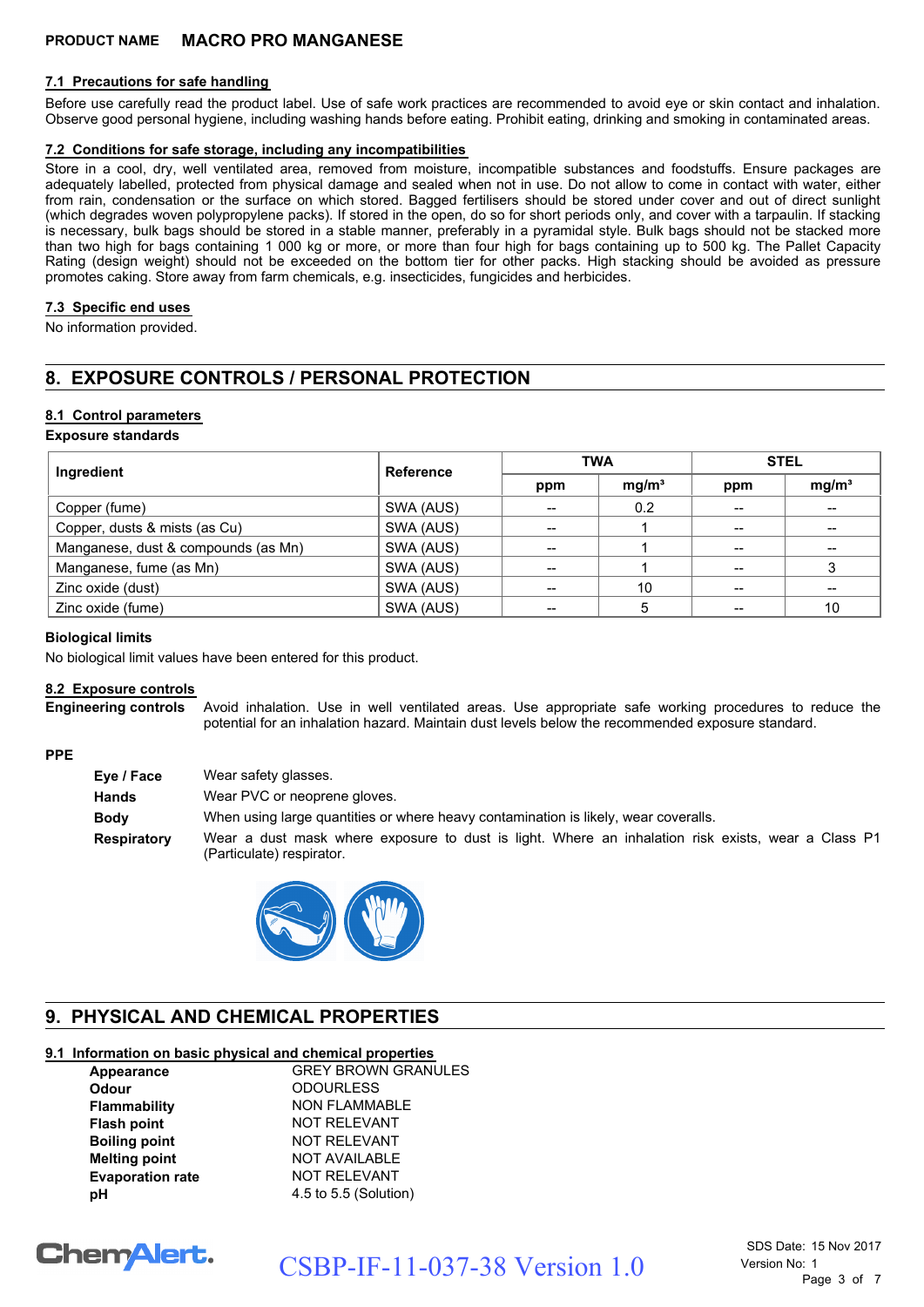#### **7.1 Precautions for safe handling**

Before use carefully read the product label. Use of safe work practices are recommended to avoid eye or skin contact and inhalation. Observe good personal hygiene, including washing hands before eating. Prohibit eating, drinking and smoking in contaminated areas.

#### **7.2 Conditions for safe storage, including any incompatibilities**

Store in a cool, dry, well ventilated area, removed from moisture, incompatible substances and foodstuffs. Ensure packages are adequately labelled, protected from physical damage and sealed when not in use. Do not allow to come in contact with water, either from rain, condensation or the surface on which stored. Bagged fertilisers should be stored under cover and out of direct sunlight (which degrades woven polypropylene packs). If stored in the open, do so for short periods only, and cover with a tarpaulin. If stacking is necessary, bulk bags should be stored in a stable manner, preferably in a pyramidal style. Bulk bags should not be stacked more than two high for bags containing 1 000 kg or more, or more than four high for bags containing up to 500 kg. The Pallet Capacity Rating (design weight) should not be exceeded on the bottom tier for other packs. High stacking should be avoided as pressure promotes caking. Store away from farm chemicals, e.g. insecticides, fungicides and herbicides.

#### **7.3 Specific end uses**

No information provided.

### **8. EXPOSURE CONTROLS / PERSONAL PROTECTION**

#### **8.1 Control parameters**

#### **Exposure standards**

| Ingredient                          | <b>Reference</b> | <b>TWA</b> |                   | <b>STEL</b> |                   |
|-------------------------------------|------------------|------------|-------------------|-------------|-------------------|
|                                     |                  | ppm        | mg/m <sup>3</sup> | ppm         | mg/m <sup>3</sup> |
| Copper (fume)                       | SWA (AUS)        |            | 0.2               |             | --                |
| Copper, dusts & mists (as Cu)       | SWA (AUS)        | --         |                   |             | --                |
| Manganese, dust & compounds (as Mn) | SWA (AUS)        |            |                   |             |                   |
| Manganese, fume (as Mn)             | SWA (AUS)        |            |                   |             | າ                 |
| Zinc oxide (dust)                   | SWA (AUS)        |            | 10                |             |                   |
| Zinc oxide (fume)                   | SWA (AUS)        | --         | 5                 |             | 10                |

#### **Biological limits**

No biological limit values have been entered for this product.

#### **8.2 Exposure controls**

Avoid inhalation. Use in well ventilated areas. Use appropriate safe working procedures to reduce the potential for an inhalation hazard. Maintain dust levels below the recommended exposure standard. **Engineering controls**

#### **PPE**

| Eye / Face  | Wear safety glasses.                                                                                                            |
|-------------|---------------------------------------------------------------------------------------------------------------------------------|
| Hands       | Wear PVC or neoprene gloves.                                                                                                    |
| Body        | When using large quantities or where heavy contamination is likely, wear coveralls.                                             |
| Respiratory | Wear a dust mask where exposure to dust is light. Where an inhalation risk exists, wear a Class P1<br>(Particulate) respirator. |



### **9. PHYSICAL AND CHEMICAL PROPERTIES**

#### **9.1 Information on basic physical and chemical properties**

| Appearance              | <b>GREY BROWN GRANULES</b> |
|-------------------------|----------------------------|
| <b>Odour</b>            | <b>ODOURLESS</b>           |
| Flammability            | <b>NON FLAMMABLE</b>       |
| <b>Flash point</b>      | <b>NOT RELEVANT</b>        |
| <b>Boiling point</b>    | <b>NOT RELEVANT</b>        |
| <b>Melting point</b>    | <b>NOT AVAILABLE</b>       |
| <b>Evaporation rate</b> | <b>NOT RELEVANT</b>        |
| рH                      | 4.5 to 5.5 (Solution)      |

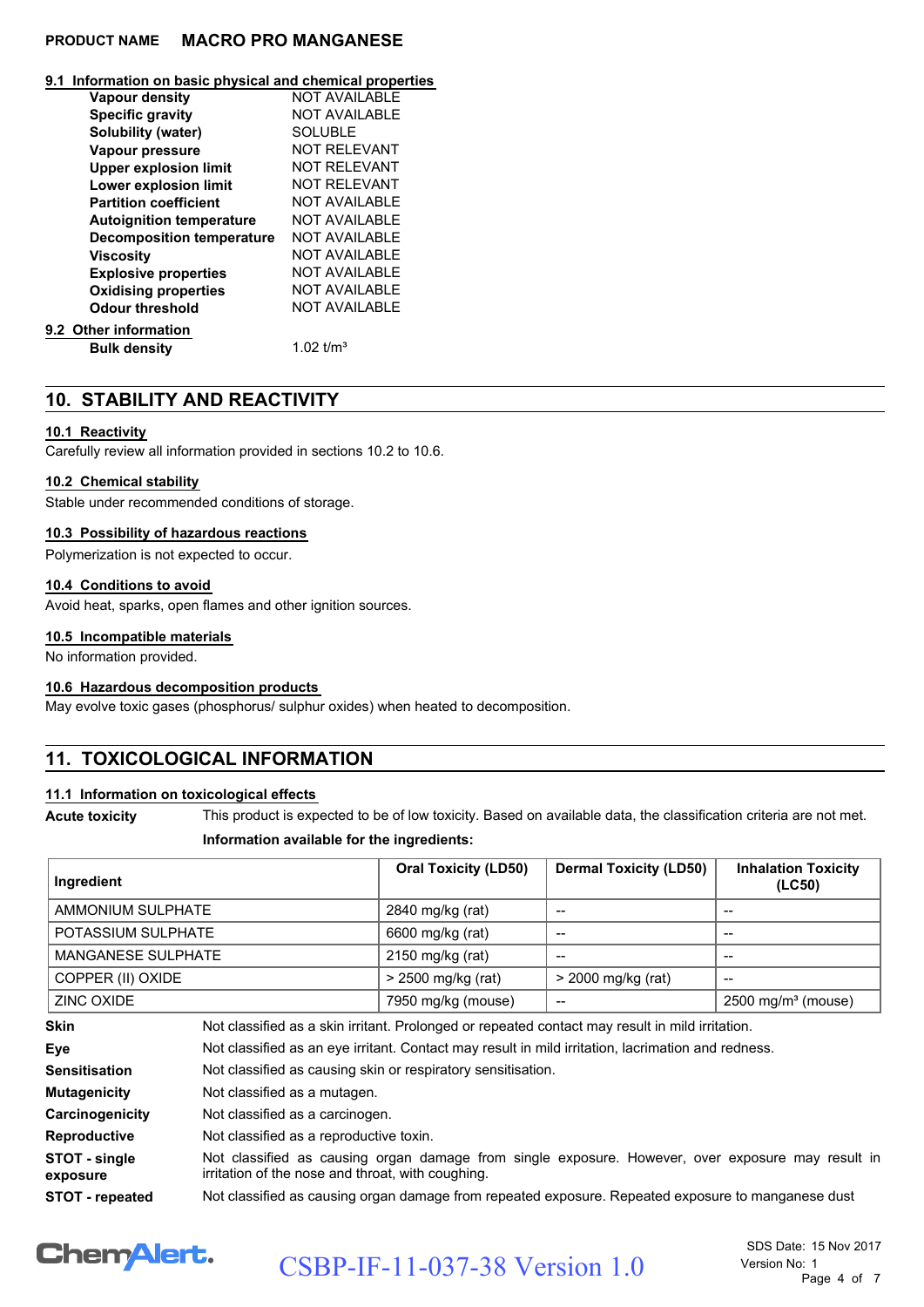#### **9.1 Information on basic physical and chemical properties**

| Vapour density                   | <b>NOT AVAILABLE</b> |
|----------------------------------|----------------------|
| <b>Specific gravity</b>          | <b>NOT AVAILABLE</b> |
| Solubility (water)               | <b>SOLUBLE</b>       |
| Vapour pressure                  | <b>NOT RELEVANT</b>  |
| <b>Upper explosion limit</b>     | <b>NOT RELEVANT</b>  |
| <b>Lower explosion limit</b>     | <b>NOT RELEVANT</b>  |
| <b>Partition coefficient</b>     | NOT AVAILABLE        |
| <b>Autoignition temperature</b>  | NOT AVAILABLE        |
| <b>Decomposition temperature</b> | NOT AVAILABLE        |
| Viscosity                        | <b>NOT AVAILABLE</b> |
| <b>Explosive properties</b>      | <b>NOT AVAILABLE</b> |
| <b>Oxidising properties</b>      | <b>NOT AVAILABLE</b> |
| <b>Odour threshold</b>           | <b>NOT AVAILABLE</b> |
| 9.2 Other information            |                      |
| <b>Bulk density</b>              | 1.02 $t/m3$          |

### **10. STABILITY AND REACTIVITY**

#### **10.1 Reactivity**

Carefully review all information provided in sections 10.2 to 10.6.

#### **10.2 Chemical stability**

Stable under recommended conditions of storage.

#### **10.3 Possibility of hazardous reactions**

Polymerization is not expected to occur.

#### **10.4 Conditions to avoid**

Avoid heat, sparks, open flames and other ignition sources.

#### **10.5 Incompatible materials**

No information provided.

#### **10.6 Hazardous decomposition products**

May evolve toxic gases (phosphorus/ sulphur oxides) when heated to decomposition.

### **11. TOXICOLOGICAL INFORMATION**

#### **11.1 Information on toxicological effects**

**Acute toxicity** This product is expected to be of low toxicity. Based on available data, the classification criteria are not met.

#### **Information available for the ingredients:**

| Ingredient                |                                                                                                    | <b>Oral Toxicity (LD50)</b>                                  | <b>Dermal Toxicity (LD50)</b> | <b>Inhalation Toxicity</b><br>(LC50) |
|---------------------------|----------------------------------------------------------------------------------------------------|--------------------------------------------------------------|-------------------------------|--------------------------------------|
| AMMONIUM SULPHATE         |                                                                                                    | 2840 mg/kg (rat)                                             | $- -$                         | --                                   |
| POTASSIUM SULPHATE        |                                                                                                    | 6600 mg/kg (rat)                                             | --                            | --                                   |
| <b>MANGANESE SULPHATE</b> |                                                                                                    | 2150 mg/kg (rat)                                             | $- -$                         | --                                   |
| COPPER (II) OXIDE         |                                                                                                    | > 2500 mg/kg (rat)                                           | > 2000 mg/kg (rat)            |                                      |
| ZINC OXIDE                |                                                                                                    | 7950 mg/kg (mouse)                                           | --                            | $2500 \text{ mg/m}^3$ (mouse)        |
| Skin                      | Not classified as a skin irritant. Prolonged or repeated contact may result in mild irritation.    |                                                              |                               |                                      |
| Eye                       | Not classified as an eye irritant. Contact may result in mild irritation, lacrimation and redness. |                                                              |                               |                                      |
| Sensitisation             |                                                                                                    | Not classified as causing skin or respiratory sensitisation. |                               |                                      |
| <b>Mutagenicity</b>       | Not classified as a mutagen.                                                                       |                                                              |                               |                                      |
| <b>Carcinogenicity</b>    | Not classified as a carcinogen.                                                                    |                                                              |                               |                                      |
| Reproductive              | Not classified as a reproductive toxin.                                                            |                                                              |                               |                                      |
| STOT - single             | Not classified as causing organ damage from single exposure. However, over exposure may result in  |                                                              |                               |                                      |

Not classified as causing organ damage from single exposure. However, over exposure may result in irritation of the nose and throat, with coughing. **exposure**

**STOT - repeated** Not classified as causing organ damage from repeated exposure. Repeated exposure to manganese dust

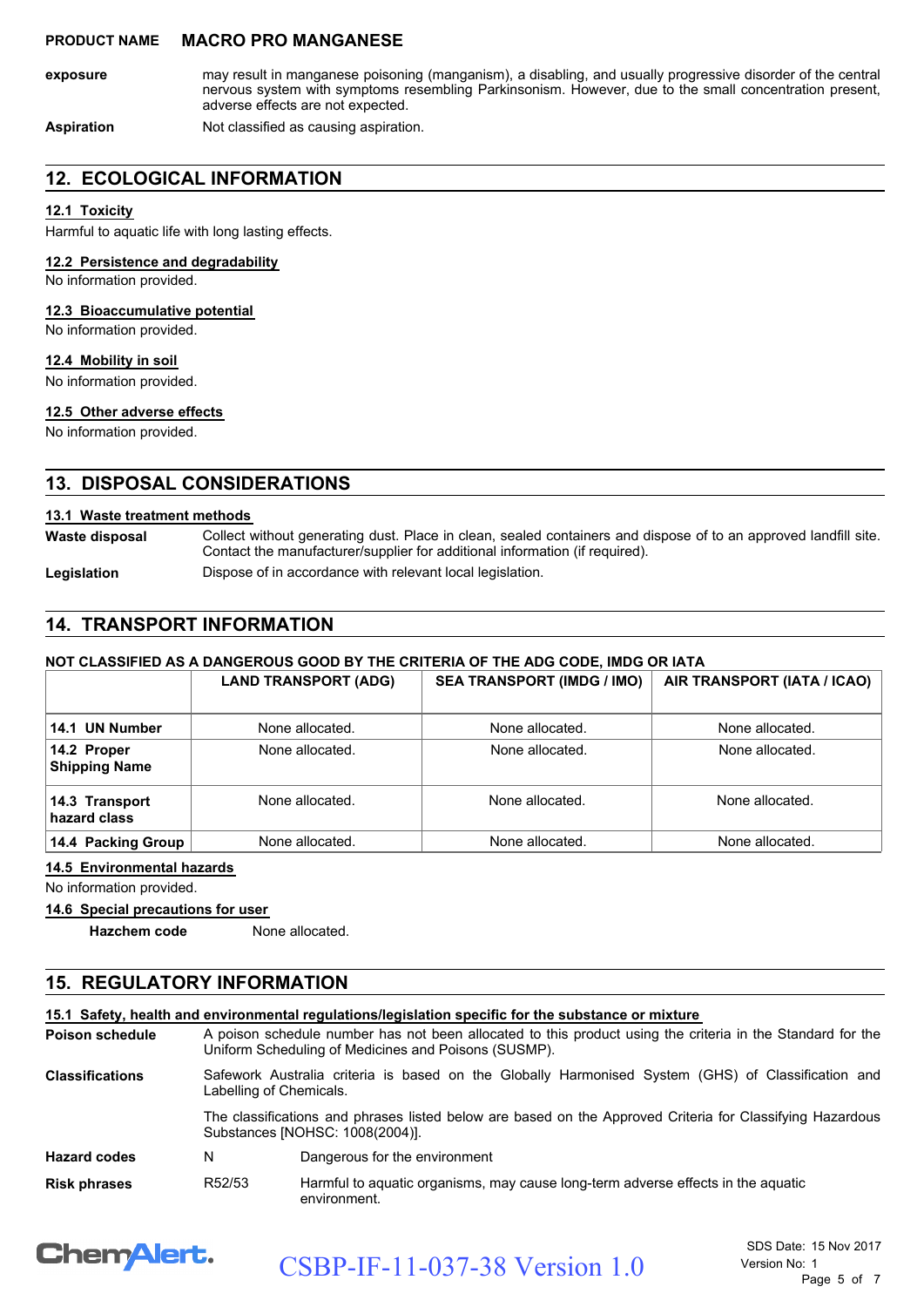may result in manganese poisoning (manganism), a disabling, and usually progressive disorder of the central nervous system with symptoms resembling Parkinsonism. However, due to the small concentration present, adverse effects are not expected. **exposure**

Aspiration **Not classified as causing aspiration.** 

### **12. ECOLOGICAL INFORMATION**

#### **12.1 Toxicity**

Harmful to aquatic life with long lasting effects.

#### **12.2 Persistence and degradability**

No information provided.

#### **12.3 Bioaccumulative potential**

No information provided.

#### **12.4 Mobility in soil**

No information provided.

#### **12.5 Other adverse effects**

No information provided.

### **13. DISPOSAL CONSIDERATIONS**

#### **13.1 Waste treatment methods**

Collect without generating dust. Place in clean, sealed containers and dispose of to an approved landfill site. Contact the manufacturer/supplier for additional information (if required). **Waste disposal**

Legislation **Dispose of in accordance with relevant local legislation.** 

### **14. TRANSPORT INFORMATION**

#### **NOT CLASSIFIED AS A DANGEROUS GOOD BY THE CRITERIA OF THE ADG CODE, IMDG OR IATA**

|                                     | <b>LAND TRANSPORT (ADG)</b> | <b>SEA TRANSPORT (IMDG / IMO)</b> | AIR TRANSPORT (IATA / ICAO) |
|-------------------------------------|-----------------------------|-----------------------------------|-----------------------------|
| 14.1 UN Number                      | None allocated.             | None allocated.                   | None allocated.             |
| 14.2 Proper<br><b>Shipping Name</b> | None allocated.             | None allocated.                   | None allocated.             |
| 14.3 Transport<br>hazard class      | None allocated.             | None allocated.                   | None allocated.             |
| 14.4 Packing Group                  | None allocated.             | None allocated.                   | None allocated.             |

#### **14.5 Environmental hazards**

No information provided.

#### **14.6 Special precautions for user**

**Hazchem code** None allocated.

### **15. REGULATORY INFORMATION**

|                        |                                                                                                                                                                    | 15.1 Safety, health and environmental regulations/legislation specific for the substance or mixture |
|------------------------|--------------------------------------------------------------------------------------------------------------------------------------------------------------------|-----------------------------------------------------------------------------------------------------|
| Poison schedule        | A poison schedule number has not been allocated to this product using the criteria in the Standard for the<br>Uniform Scheduling of Medicines and Poisons (SUSMP). |                                                                                                     |
| <b>Classifications</b> | Labelling of Chemicals.                                                                                                                                            | Safework Australia criteria is based on the Globally Harmonised System (GHS) of Classification and  |
|                        | The classifications and phrases listed below are based on the Approved Criteria for Classifying Hazardous<br>Substances [NOHSC: 1008(2004)].                       |                                                                                                     |
| <b>Hazard codes</b>    | N                                                                                                                                                                  | Dangerous for the environment                                                                       |
| Risk phrases           | R52/53                                                                                                                                                             | Harmful to aquatic organisms, may cause long-term adverse effects in the aquatic<br>environment.    |

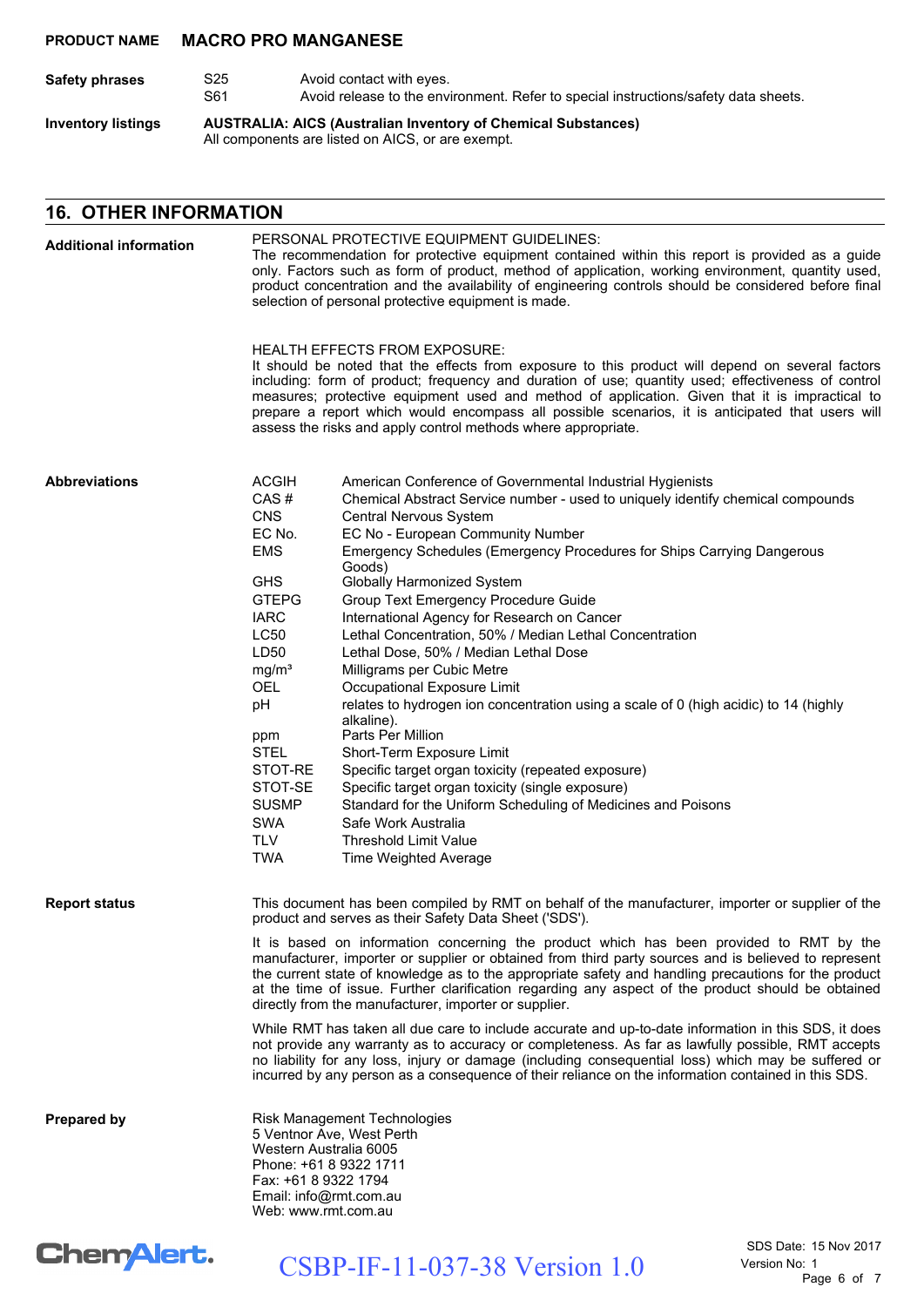| Safety phrases            | S25<br>S61 | Avoid contact with eyes.<br>Avoid release to the environment. Refer to special instructions/safety data sheets.           |
|---------------------------|------------|---------------------------------------------------------------------------------------------------------------------------|
| <b>Inventory listings</b> |            | <b>AUSTRALIA: AICS (Australian Inventory of Chemical Substances)</b><br>All components are listed on AICS, or are exempt. |

### **16. OTHER INFORMATION**

| <b>Additional information</b> | PERSONAL PROTECTIVE EQUIPMENT GUIDELINES:<br>The recommendation for protective equipment contained within this report is provided as a guide<br>only. Factors such as form of product, method of application, working environment, quantity used,<br>product concentration and the availability of engineering controls should be considered before final<br>selection of personal protective equipment is made.<br><b>HEALTH EFFECTS FROM EXPOSURE:</b><br>It should be noted that the effects from exposure to this product will depend on several factors<br>including: form of product; frequency and duration of use; quantity used; effectiveness of control<br>measures; protective equipment used and method of application. Given that it is impractical to<br>prepare a report which would encompass all possible scenarios, it is anticipated that users will<br>assess the risks and apply control methods where appropriate.                                                                                                                                                                                                                                                                                                                                                |  |  |  |
|-------------------------------|------------------------------------------------------------------------------------------------------------------------------------------------------------------------------------------------------------------------------------------------------------------------------------------------------------------------------------------------------------------------------------------------------------------------------------------------------------------------------------------------------------------------------------------------------------------------------------------------------------------------------------------------------------------------------------------------------------------------------------------------------------------------------------------------------------------------------------------------------------------------------------------------------------------------------------------------------------------------------------------------------------------------------------------------------------------------------------------------------------------------------------------------------------------------------------------------------------------------------------------------------------------------------------------|--|--|--|
|                               |                                                                                                                                                                                                                                                                                                                                                                                                                                                                                                                                                                                                                                                                                                                                                                                                                                                                                                                                                                                                                                                                                                                                                                                                                                                                                          |  |  |  |
| <b>Abbreviations</b>          | <b>ACGIH</b><br>American Conference of Governmental Industrial Hygienists<br>CAS#<br>Chemical Abstract Service number - used to uniquely identify chemical compounds<br><b>CNS</b><br>Central Nervous System<br>EC No.<br>EC No - European Community Number<br>Emergency Schedules (Emergency Procedures for Ships Carrying Dangerous<br><b>EMS</b><br>Goods)<br><b>GHS</b><br>Globally Harmonized System<br><b>GTEPG</b><br>Group Text Emergency Procedure Guide<br><b>IARC</b><br>International Agency for Research on Cancer<br><b>LC50</b><br>Lethal Concentration, 50% / Median Lethal Concentration<br>LD50<br>Lethal Dose, 50% / Median Lethal Dose<br>mg/m <sup>3</sup><br>Milligrams per Cubic Metre<br><b>OEL</b><br>Occupational Exposure Limit<br>pH<br>relates to hydrogen ion concentration using a scale of 0 (high acidic) to 14 (highly<br>alkaline).<br>Parts Per Million<br>ppm<br><b>STEL</b><br>Short-Term Exposure Limit<br>STOT-RE<br>Specific target organ toxicity (repeated exposure)<br>STOT-SE<br>Specific target organ toxicity (single exposure)<br><b>SUSMP</b><br>Standard for the Uniform Scheduling of Medicines and Poisons<br><b>SWA</b><br>Safe Work Australia<br><b>TLV</b><br><b>Threshold Limit Value</b><br><b>TWA</b><br>Time Weighted Average |  |  |  |
| <b>Report status</b>          | This document has been compiled by RMT on behalf of the manufacturer, importer or supplier of the<br>product and serves as their Safety Data Sheet ('SDS').<br>It is based on information concerning the product which has been provided to RMT by the<br>manufacturer, importer or supplier or obtained from third party sources and is believed to represent<br>the current state of knowledge as to the appropriate safety and handling precautions for the product<br>at the time of issue. Further clarification regarding any aspect of the product should be obtained<br>directly from the manufacturer, importer or supplier.<br>While RMT has taken all due care to include accurate and up-to-date information in this SDS, it does<br>not provide any warranty as to accuracy or completeness. As far as lawfully possible, RMT accepts<br>no liability for any loss, injury or damage (including consequential loss) which may be suffered or                                                                                                                                                                                                                                                                                                                                |  |  |  |
| <b>Prepared by</b>            | incurred by any person as a consequence of their reliance on the information contained in this SDS.<br>Risk Management Technologies<br>5 Ventnor Ave, West Perth<br>Western Australia 6005<br>Phone: +61 8 9322 1711<br>Fax: +61 8 9322 1794<br>Email: info@rmt.com.au<br>Web: www.rmt.com.au                                                                                                                                                                                                                                                                                                                                                                                                                                                                                                                                                                                                                                                                                                                                                                                                                                                                                                                                                                                            |  |  |  |

# Chem<sup>Alert.</sup>